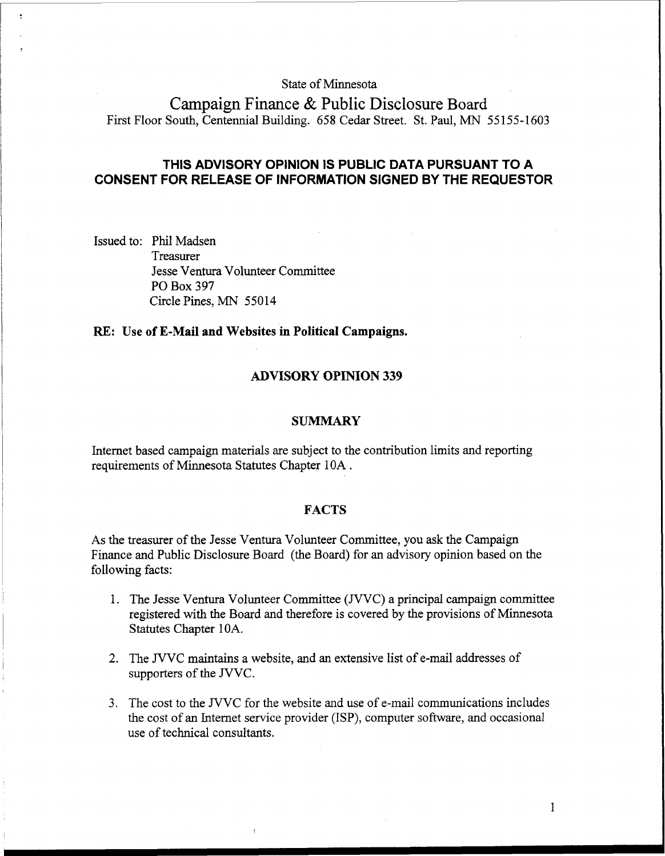State of Minnesota

Campaign Finance & Public Disclosure Board First Floor South, Centennial Building. 658 Cedar Street. St. Paul, MN 55155-1603

# **THIS ADVISORY OPINION IS PUBLIC DATA PURSUANT TO A CONSENT FOR RELEASE OF INFORMATION SIGNED BY THE REQUESTOR**

Issued to: Phil Madsen Treasurer Jesse Ventura Volunteer Committee PO Box 397 Circle Pines, MN 55014

### **RE: Use of E-Mail and Websites in Political Campaigns.**

## **ADVISORY OPINION 339**

#### **SUMMARY**

Internet based campaign materials are subject to the contribution limits and reporting requirements of Minnesota Statutes Chapter 10A .

### **FACTS**

As the treasurer of the Jesse Ventura Volunteer Committee, you ask the Campaign Finance and Public Disclosure Board (the Board) for an advisory opinion based on the following facts:

- 1. The Jesse Ventura Volunteer Committee (JVVC) a principal campaign committee registered with the Board and therefore is covered by the provisions of Minnesota Statutes Chapter 10A.
- 2. The JVVC maintains a website, and an extensive list of e-mail addresses of supporters of the JVVC.
- 3. The cost to the JVVC for the website and use of e-mail communications includes the cost of an Internet service provider (ISP), computer software, and occasional use of technical consultants.

 $\mathbf{1}$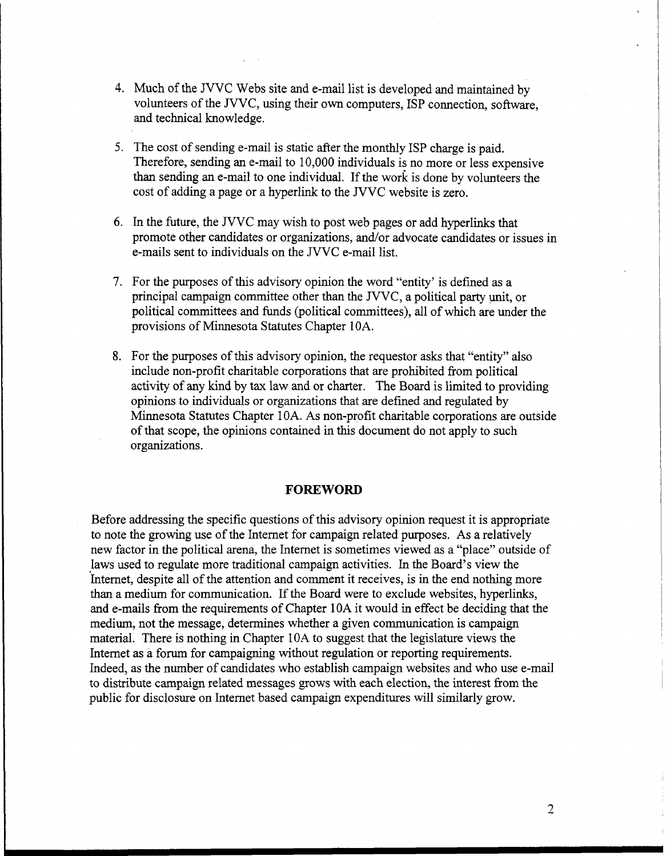- 4. Much of the JVVC Webs site and e-mail list is developed and maintained by volunteers of the JVVC, using their own computers, ISP connection, software, and technical knowledge.
- 5. The cost of sending e-mail is static after the monthly ISP charge is paid. Therefore, sending an e-mail to 10,000 individuals is no more or less expensive than sending an e-mail to one individual. If the work is done by volunteers the cost of adding a page or a hyperlink to the JVVC website is zero.
- 6. In the future, the JVVC may wish to post web pages or add hyperlinks that promote other candidates or organizations, and/or advocate candidates or issues in e-mails sent to individuals on the JVVC e-mail list.
- 7. For the purposes of this advisory opinion the word "entity' is defined as a principal campaign committee other than the JVVC, a political party unit, or political committees and funds (political committees), all of which are under the provisions of Minnesota Statutes Chapter 10A.
- 8. For the purposes of this advisory opinion, the requestor asks that "entity" also include non-profit charitable corporations that are prohibited from political activity of any kind by tax law and or charter. The Board is limited to providing opinions to individuals or organizations that are defined and regulated by Minnesota Statutes Chapter 10A. As non-profit charitable corporations are outside of that scope, the opinions contained in this document do not apply to such organizations.

## **FOREWORD**

Before addressing the specific questions of this advisory opinion request it is appropriate to note the growing use of the Internet for campaign related purposes. As a relatively new factor in the political arena, the Internet is sometimes viewed as a "place" outside of laws used to regulate more traditional campaign activities. In the Board's view the Internet, despite all of the attention and comment it receives, is in the end nothing more than a medium for communication. If the Board were to exclude websites, hyperlinks, and e-mails from the requirements of Chapter 10A it would in effect be deciding that the medium, not the message, determines whether a given communication is campaign material. There is nothing in Chapter 10A to suggest that the legislature views the Internet as a forum for campaigning without regulation or reporting requirements. Indeed, as the number of candidates who establish campaign websites and who use e-mail to distribute campaign related messages grows with each election, the interest from the public for disclosure on lnternet based campaign expenditures will similarly grow.

 $\overline{2}$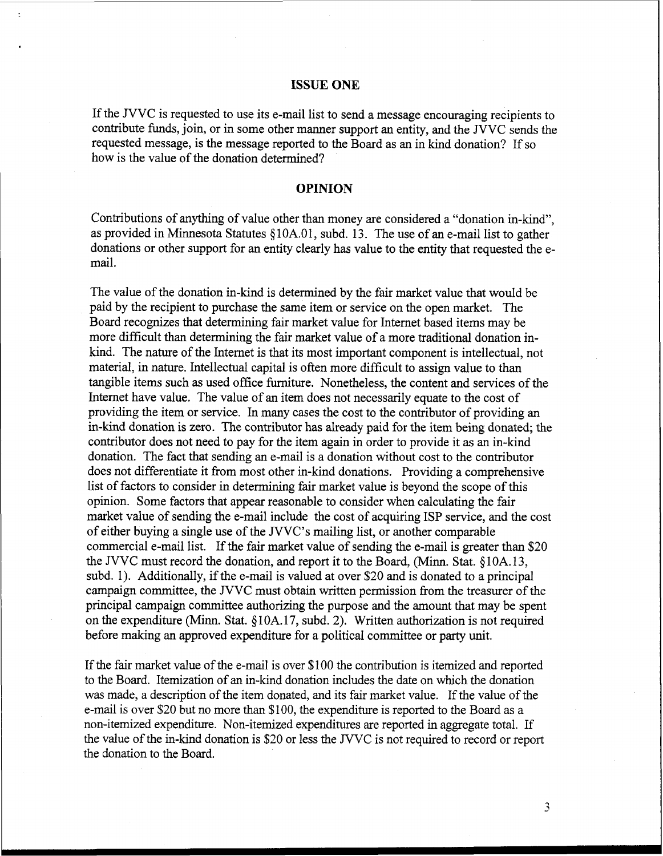### **ISSUE ONE**

If the JVVC is requested to use its e-mail list to send a message encouraging recipients to contribute funds, join, or in some other manner support an entity, and the JVVC sends the requested message, is the message reported to the Board as an in kind donation? If so how is the value of the donation determined?

## **OPINION**

Contributions of anything of value other than money are considered a "donation in-kind", as provided in Minnesota Statutes *5* 1 OA.O 1, subd. 13. The use of an e-mail list to gather donations or other support for an entity clearly has value to the entity that requested the email.

The value of the donation in-kind is determined by the fair market value that would be paid by the recipient to purchase the same item or service on the open market. The Board recognizes that determining fair market value for Internet based items may be more difficult than determining the fair market value of a more traditional donation inkind. The nature of the Internet is that its most important component is intellectual, not material, in nature. Intellectual capital is often more difficult to assign value to than tangible items such as used office furniture. Nonetheless, the content and services of the Internet have value. The value of an item does not necessarily equate to the cost of providing the item or service. In many cases the cost to the contributor of providing an in-kind donation is zero. The contributor has already paid for the item being donated; the contributor does not need to pay for the item again in order to provide it as an in-kind donation. The fact that sending an e-mail is a donation without cost to the contributor does not differentiate it from most other in-kind donations. Providing a comprehensive list of factors to consider in determining fair market value is beyond the scope of this opinion. Some factors that appear reasonable to consider when calculating the fair market value of sending the e-mail include the cost of acquiring ISP service, and the cost of either buying a single use of the JVVC's mailing list, or another comparable commercial e-mail list. If the fair market value of sending the e-mail is greater than \$20 the JVVC must record the donation, and report it to the Board, (Minn. Stat. *5* 10A. 13, subd. 1). Additionally, if the e-mail is valued at over \$20 and is donated to a principal campaign committee, the JVVC must obtain written permission from the treasurer of the principal campaign committee authorizing the purpose and the amount that may be spent on the expenditure (Minn. Stat. *5* 10A. 17, subd. 2). Written authorization is not required before making an approved expenditure for a political committee or party unit.

If the fair market value of the e-mail is over \$100 the contribution is itemized and reported to the Board. Itemization of an in-kind donation includes the date on whch the donation was made, a description of the item donated, and its fair market value. If the value of the e-mail is over \$20 but no more than \$100, the expenditure is reported to the Board as a non-itemized expenditure. Non-itemized expenditures are reported in aggregate total. If the value of the in-kind donation is \$20 or less the JVVC is not required to record or report the donation to the Board.

 $\overline{\mathbf{3}}$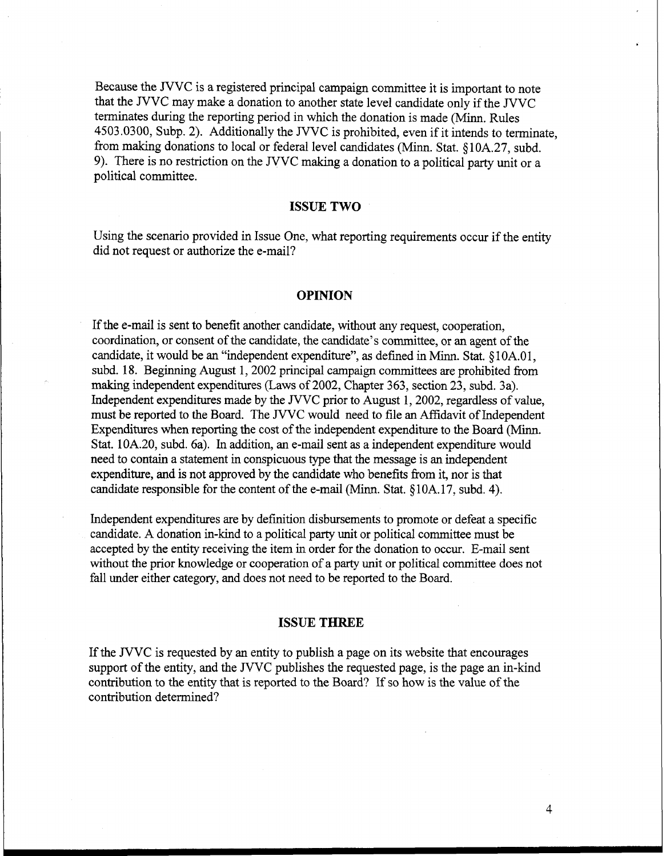Because the JVVC is a registered principal campaign committee it is important to note that the JVVC may make a donation to another state level candidate only if the JVVC terminates during the reporting period in which the donation is made (Minn. Rules 4503.0300, Subp. 2). Additionally the JVVC is prohibited, even if it intends to terminate, fiom making donations to local or federal level candidates (Minn. Stat. **9** 10A.27, subd. 9). There is no restriction on the JVVC making a donation to a political party unit or a political committee.

### **ISSUE TWO**

Using the scenario provided in Issue One, what reporting requirements occur if the entity did not request or authorize the e-mail?

## **OPINION**

If the e-mail is sent to benefit another candidate, without any request, cooperation, coordination, or consent of the candidate, the candidate's committee, or an agent of the candidate, it would be an "independent expenditure", **as** defined in Minn. Stat. **5** 1 OA.O 1, subd. 18. Beginning August 1,2002 principal campaign committees are prohibited from making independent expenditures (Laws of 2002, Chapter 363, section 23, subd. 3a). Independent expenditures made by the JVVC prior to August 1,2002, regardless of value, must be reported to the Board. The JVVC would need to file an Affidavit of Independent Expenditures when reporting the cost of the independent expenditure to the Board (Minn. Stat. 10A.20, subd. 6a). In addition, an e-mail sent **as** a independent expenditure would need to contain a statement in conspicuous type that the message is an independent expenditure, and is not approved by the candidate who benefits fiom it, nor is that candidate responsible for the content of the e-mail (Minn. Stat. §10A.17, subd. 4).

Independent expenditures are by defmition disbursements to promote or defeat a specific candidate. A donation in-kind to a political party unit or political committee must be accepted by the entity receiving the item in order for the donation to occur. E-mail sent without the prior knowledge or cooperation of a party unit or political committee does not fall under either category, and does not need to be reported to the Board.

## **ISSUE THREE**

If the JVVC is requested by an entity to publish a page on its website that encourages support of the entity, and the JVVC publishes the requested page, is the page an in-kind contribution to the entity that is reported to the Board? If so how is the value of the contribution determined?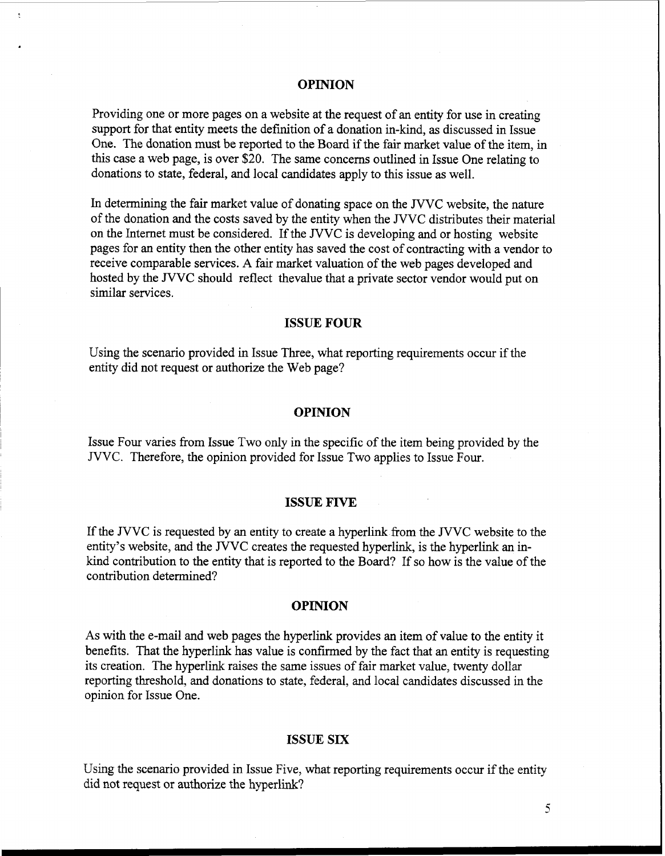## **OPINION**

Providing one or more pages on a website at the request of an entity for use in creating support for that entity meets the definition of a donation in-kind, as discussed in Issue One. The donation must be reported to the Board if the fair market value of the item, in this case a web page, is over \$20. The same concerns outlined in Issue One relating to donations to state, federal, and local candidates apply to this issue as well.

In determining the fair market value of donating space on the JVVC website, the nature of the donation and the costs saved by the entity when the JVVC distributes their material on the Internet must be considered. If the JVVC is developing and or hosting website pages for an entity then the other entity has saved the cost of contracting with a vendor to receive comparable services. A fair market valuation of the web pages developed and hosted by the JVVC should reflect thevalue that a private sector vendor would put on similar services.

## **ISSUE FOUR**

Using the scenario provided in Issue Three, what reporting requirements occur if the entity did not request or authorize the Web page?

#### **OPINION**

Issue Four varies from Issue Two only in the specific of the item being provided by the JVVC. Therefore, the opinion provided for Issue Two applies to Issue Four.

## **ISSUE FIVE**

If the JVVC is requested by an entity to create a hyperlink from the JVVC website to the entity's website, and the JVVC creates the requested hyperlink, is the hyperlink an inkind contribution to the entity that is reported to the Board? If so how is the value of the contribution determined?

#### **OPINION**

As with the e-mail and web pages the hyperlink provides an item of value to the entity it benefits. That the hyperlink has value is confirmed by the fact that an entity is requesting its creation. The hyperlink raises the same issues of fair market value, twenty dollar reporting threshold, and donations to state, federal, and local candidates discussed in the opinion for Issue One.

### **ISSUE SIX**

Using the scenario provided in Issue Five, what reporting requirements occur if the entity did not request or authorize the hyperlink?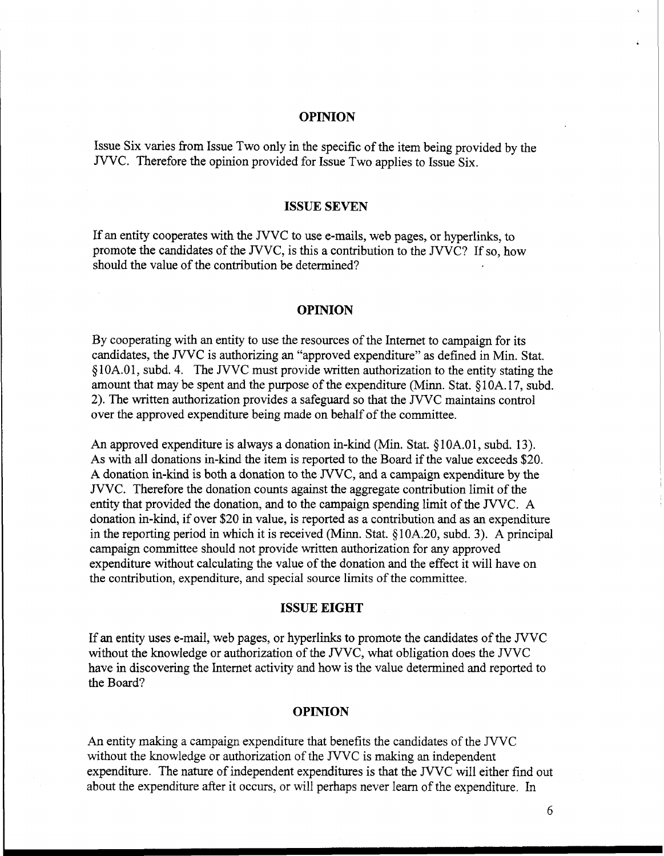## **OPINION**

Issue Six varies fiom Issue Two only in the specific of the item being provided by the JVVC. Therefore the opinion provided for Issue Two applies to Issue Six.

#### **ISSUE SEVEN**

If an entity cooperates with the JVVC to use e-mails, web pages, or hyperlinks, to promote the candidates of the JVVC, is this a contribution to the JVVC? If so, how should the value of the contribution be determined?

#### **OPINION**

By cooperating with an entity to use the resources of the Internet to campaign for its candidates, the JVVC is authorizing an "approved expenditure" as defined in Min. Stat. *5* 1 OA.O 1, subd. 4. The JVVC must provide written authorization to the entity stating the amount that may be spent and the purpose of the expenditure (Minn. Stat. *5* 1 OA. 17, subd. 2). The written authorization provides a safeguard so that the JVVC maintains control over the approved expenditure being made on behalf of the committee.

An approved expenditure is always a donation in-kind (Min. Stat. §10A.01, subd. 13). As with all donations in-kind the item is reported to the Board if the value exceeds \$20. A donation in-kind is both a donation to the JVVC, and a campaign expenditure by the JVVC. Therefore the donation counts against the aggregate contribution limit of the entity that provided the donation, and to the campaign spending limit of the JVVC. A donation in-kind, if over \$20 in value, is reported as a contribution and as an expenditure in the reporting period in which it is received (Minn. Stat. *5* 10A.20, subd. **3).** A principal campaign committee should not provide written authorization for any approved expenditure without calculating the value of the donation and the effect it will have on the contribution, expenditure, and special source limits of the committee.

### **ISSUE EIGHT**

If **an** entity uses e-mail, web pages, or hyperlinks to promote the candidates of the JVVC without the knowledge or authorization of the JVVC, what obligation does the JVVC have in discovering the Internet activity and how is the value determined and reported to the Board?

#### **OPINION**

An entity making a campaign expenditure that benefits the candidates of the JVVC without the knowledge or authorization of the JVVC is making an independent expenditure. The nature of independent expenditures is that the JVVC will either find out about the expenditure after it occurs, or will perhaps never learn of the expenditure. In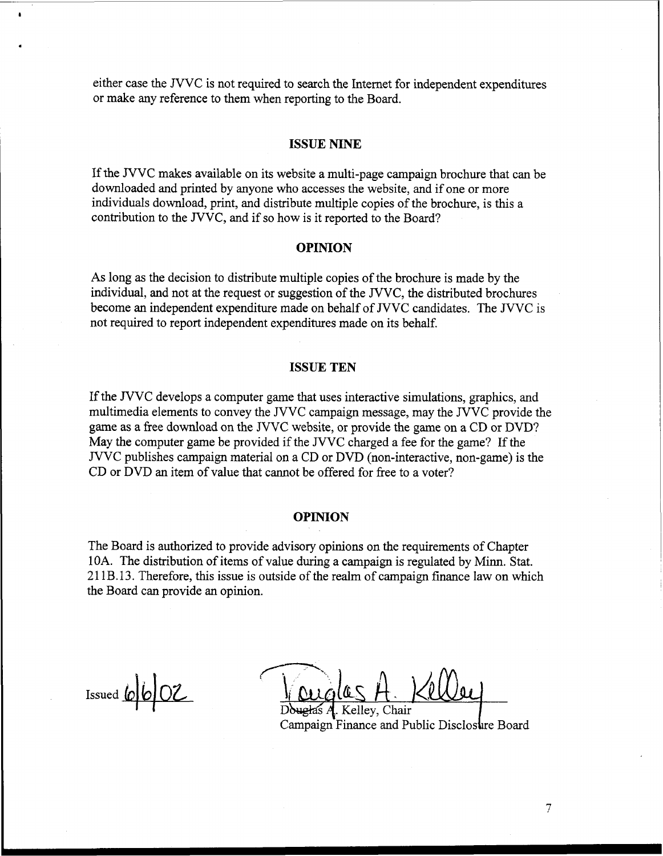either case the JVVC is not required to search the Internet for independent expenditures or make any reference to them when reporting to the Board.

### **ISSUE NINE**

If the JVVC makes available on its website a multi-page campaign brochure that can be downloaded and printed by anyone who accesses the website, and if one or more individuals download, print, and distribute multiple copies of the brochure, is this a contribution to the JVVC, and if so how is it reported to the Board?

## **OPINION**

As long **as** the decision to distribute multiple copies of the brochure is made by the individual, and not at the request or suggestion of the JVVC, the distributed brochures become an independent expenditure made on behalf of JVVC candidates. The JVVC is not required to report independent expenditures made on its behalf.

## **ISSUE TEN**

If the JVVC develops a computer game that uses interactive simulations, graphics, and multimedia elements to convey the JVVC campaign message, may the JVVC provide the game **as** a free download on the JVVC website, or provide the game on a CD or DVD? May the computer game be provided if the JVVC charged a fee for the game? If the JVVC publishes campaign material on a CD or DVD (non-interactive, non-game) is the CD or DVD an item of value that cannot be offered for free to a voter?

## **OPINION**

The Board is authorized to provide advisory opinions on the requirements of Chapter **10A.** The distribution of items of value during a campaign is regulated by Minn. Stat. 211 B.13. Therefore, this issue is outside of the realm of campaign finance law on which the Board can provide an opinion.

 $I$ ssued  $\omega$   $\omega$   $\sim$ 

**i,'r-\*.**  auglas A. Kel

elley, Chair Campaign Finance and Public Disclosure Board

 $\overline{7}$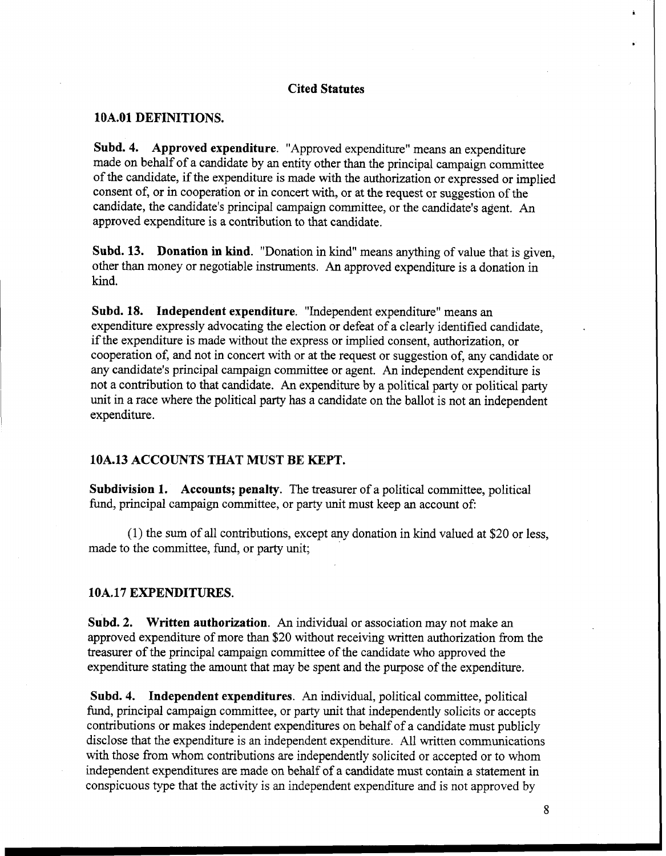### **Cited Statutes**

## **1 OA.O1 DEFINITIONS.**

**Subd. 4. Approved expenditure.** "Approved expenditure" means an expenditure made on behalf of a candidate by an entity other than the principal campaign committee of the candidate, if the expenditure is made with the authorization or expressed or implied consent of, or in cooperation or in concert with, or at the request or suggestion of the candidate, the candidate's principal campaign committee, or the candidate's agent. **An**  approved expenditure is a contribution to that candidate.

**Subd. 13. Donation in kind.** "Donation in kind" means anything of value that is given, other than money or negotiable instruments. An approved expenditure is a donation in kind.

**Subd. 18. Independent expenditure.** "Independent expenditure" means an expenditure expressly advocating the election or defeat of a clearly identified candidate, if the expenditure is made without the express or implied consent, authorization, or cooperation of, and not in concert with or at the request or suggestion of, any candidate or any candidate's principal campaign committee or agent. An independent expenditure is not a contribution to that candidate. An expenditure by a political party or political party unit in a race where the political party has a candidate on the ballot is not an independent expenditure.

## **10A.13 ACCOUNTS THAT MUST BE KEPT.**

**Subdivision 1. Accounts; penalty.** The treasurer of a political committee, political fund, principal campaign committee, or party unit must keep an account of:

(1) the sum of all contributions, except any donation in kind valued at \$20 or less, made to the committee, fund, or party unit;

## **10A. 17 EXPENDITURES.**

**Subd. 2. Written authorization. An** individual or association may not make an approved expenditure of more than \$20 without receiving written authorization from the treasurer of the principal campaign committee of the candidate who approved the expenditure stating the amount that may be spent and the purpose of the expenditure.

**Subd. 4. Independent expenditures. An** individual, political committee, political fund, principal campaign committee, or party unit that independently solicits or accepts contributions or makes independent expenditures on behalf of a candidate must publicly disclose that the expenditure is an independent expenditure. All written communications with those from whom contributions are independently solicited or accepted or to whom independent expenditures are made on behalf of a candidate must contain a statement in conspicuous type that the activity is an independent expenditure and is not approved by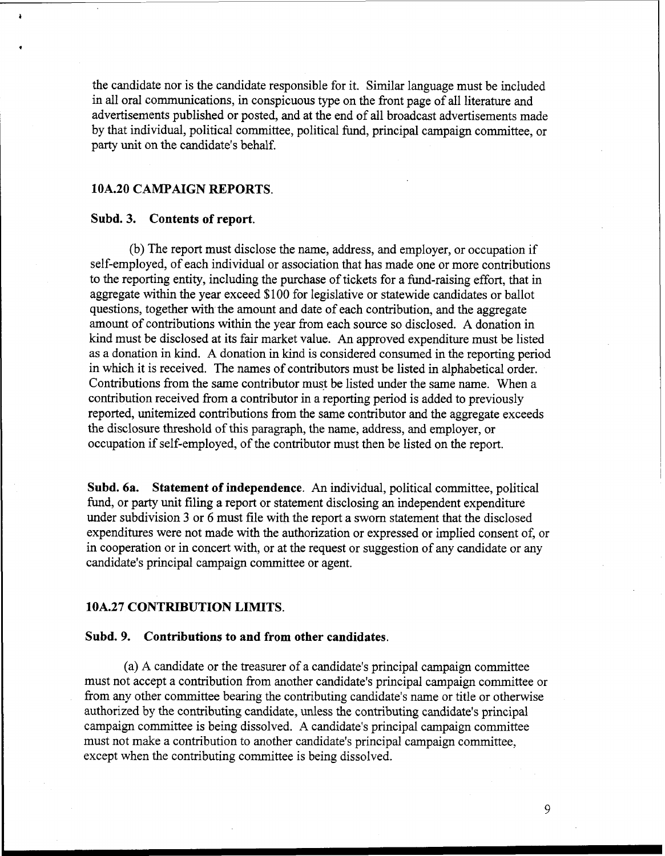the candidate nor is the candidate responsible for it. Similar language must be included in all oral communications, in conspicuous type on the front page of all literature and advertisements published or posted, and at the end of all broadcast advertisements made by that individual, political committee, political find, principal campaign committee, or party unit on the candidate's behalf.

## **10A.20 CAMPAIGN REPORTS.**

## **Subd. 3. Contents of report.**

(b) The report must disclose the name, address, and employer, or occupation if self-employed, of each individual or association that has made one or more contributions to the reporting entity, including the purchase of tickets for a fund-raising effort, that in aggregate within the year exceed \$100 for legislative or statewide candidates or ballot questions, together with the amount and date of each contribution, and the aggregate amount of contributions within the year from each source so disclosed. A donation in kind must be disclosed at its fair market value. An approved expenditure must be listed as a donation in kind. A donation in kind is considered consumed in the reporting period in which it is received. The names of contributors must be listed in alphabetical order. Contributions from the same contributor must be listed under the same name. When a contribution received from a contributor in a reporting period is added to previously reported, unitemized contributions from the same contributor and the aggregate exceeds the disclosure threshold of this paragraph, the name, address, and employer, or occupation if self-employed, of the contributor must then be listed on the report.

**Subd. 6a. Statement of independence. An** individual, political committee, political fund, or party unit filing a report or statement disclosing **an** independent expenditure under subdivision 3 or 6 must file with the report a sworn statement that the disclosed expenditures were not made with the authorization or expressed or implied consent of, or in cooperation or in concert with, or at the request or suggestion of any candidate or any candidate's principal campaign committee or agent.

### **10A.27 CONTRIBUTION LIMITS.**

## **Subd. 9. Contributions to and from other candidates.**

(a) A candidate or the treasurer of a candidate's principal campaign committee must not accept a contribution from another candidate's principal campaign committee or from any other committee bearing the contributing candidate's name or title or otherwise authorized by the contributing candidate, unless the contributing candidate's principal campaign committee is being dissolved. A candidate's principal campaign committee must not make a contribution to another candidate's principal campaign committee, except when the contributing committee is being dissolved.